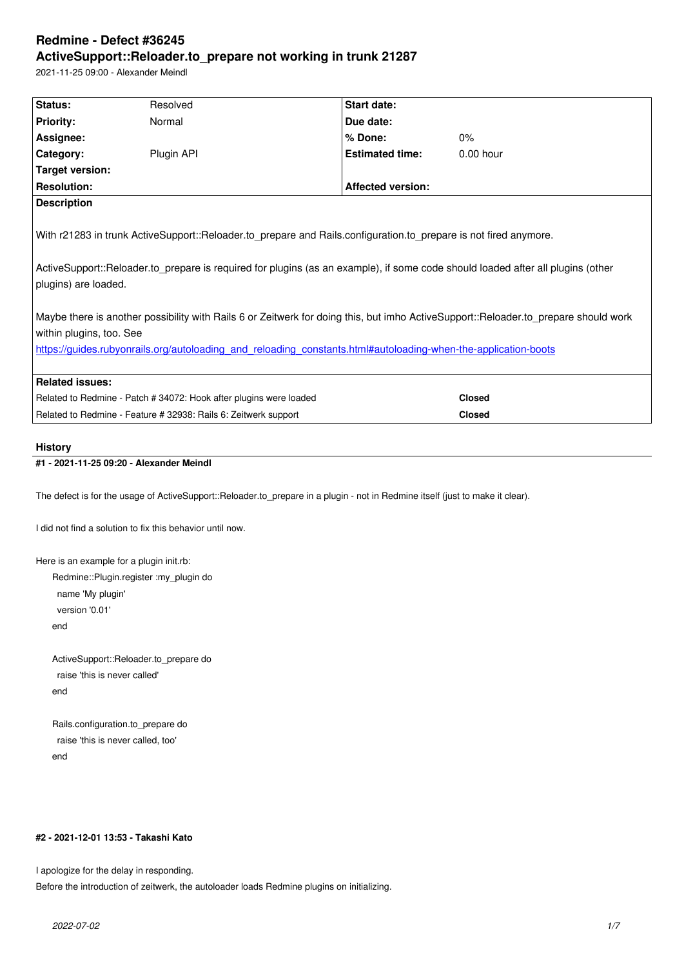#### **ActiveSupport::Reloader.to\_prepare not working in trunk 21287**

2021-11-25 09:00 - Alexander Meindl

| Status:                                                    | Resolved                                                                         | Start date:                                                                                                      |                                                                                                                                                                                                                                                                        |
|------------------------------------------------------------|----------------------------------------------------------------------------------|------------------------------------------------------------------------------------------------------------------|------------------------------------------------------------------------------------------------------------------------------------------------------------------------------------------------------------------------------------------------------------------------|
| <b>Priority:</b>                                           | Normal                                                                           | Due date:                                                                                                        |                                                                                                                                                                                                                                                                        |
| Assignee:                                                  |                                                                                  | % Done:                                                                                                          | 0%                                                                                                                                                                                                                                                                     |
| Category:                                                  | Plugin API                                                                       | <b>Estimated time:</b>                                                                                           | 0.00 hour                                                                                                                                                                                                                                                              |
| <b>Target version:</b>                                     |                                                                                  |                                                                                                                  |                                                                                                                                                                                                                                                                        |
| <b>Resolution:</b>                                         |                                                                                  | <b>Affected version:</b>                                                                                         |                                                                                                                                                                                                                                                                        |
| <b>Description</b>                                         |                                                                                  |                                                                                                                  |                                                                                                                                                                                                                                                                        |
| plugins) are loaded.<br>within plugins, too. See           |                                                                                  | With r21283 in trunk ActiveSupport::Reloader.to_prepare and Rails.configuration.to_prepare is not fired anymore. | ActiveSupport::Reloader.to_prepare is required for plugins (as an example), if some code should loaded after all plugins (other<br>Maybe there is another possibility with Rails 6 or Zeitwerk for doing this, but imho ActiveSupport::Reloader.to_prepare should work |
|                                                            |                                                                                  | https://guides.rubyonrails.org/autoloading and reloading constants.html#autoloading-when-the-application-boots   |                                                                                                                                                                                                                                                                        |
| <b>Related issues:</b>                                     |                                                                                  |                                                                                                                  |                                                                                                                                                                                                                                                                        |
|                                                            | Related to Redmine - Patch # 34072: Hook after plugins were loaded               |                                                                                                                  | <b>Closed</b>                                                                                                                                                                                                                                                          |
|                                                            | Related to Redmine - Feature # 32938: Rails 6: Zeitwerk support<br><b>Closed</b> |                                                                                                                  |                                                                                                                                                                                                                                                                        |
|                                                            |                                                                                  |                                                                                                                  |                                                                                                                                                                                                                                                                        |
| <b>History</b><br>#1 - 2021-11-25 09:20 - Alexander Meindl |                                                                                  |                                                                                                                  |                                                                                                                                                                                                                                                                        |

The defect is for the usage of ActiveSupport::Reloader.to\_prepare in a plugin - not in Redmine itself (just to make it clear).

I did not find a solution to fix this behavior until now.

Here is an example for a plugin init.rb:

Redmine::Plugin.register :my\_plugin do name 'My plugin' version '0.01' end

ActiveSupport::Reloader.to\_prepare do raise 'this is never called' end

| Rails.configuration.to prepare do |
|-----------------------------------|
| raise 'this is never called, too' |
| end                               |

# **#2 - 2021-12-01 13:53 - Takashi Kato**

I apologize for the delay in responding. Before the introduction of zeitwerk, the autoloader loads Redmine plugins on initializing.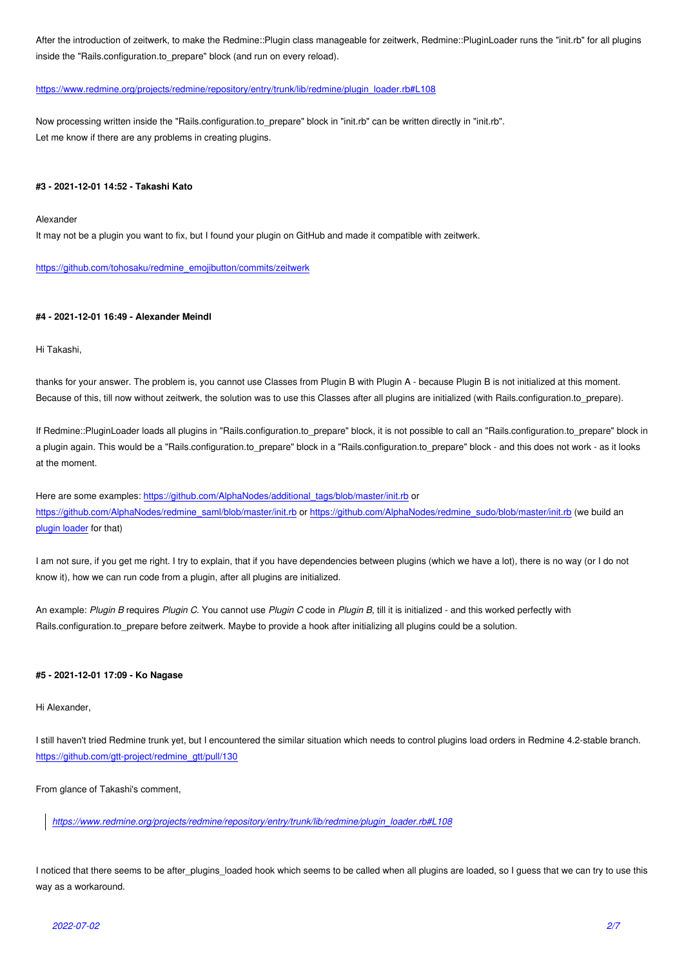inside the "Rails.configuration.to\_prepare" block (and run on every reload).

#### https://www.redmine.org/projects/redmine/repository/entry/trunk/lib/redmine/plugin\_loader.rb#L108

Now processing written inside the "Rails.configuration.to\_prepare" block in "init.rb" can be written directly in "init.rb". [Let me know if there are any problems in creating plugins.](https://www.redmine.org/projects/redmine/repository/entry/trunk/lib/redmine/plugin_loader.rb#L108)

#### **#3 - 2021-12-01 14:52 - Takashi Kato**

#### Alexander

It may not be a plugin you want to fix, but I found your plugin on GitHub and made it compatible with zeitwerk.

https://github.com/tohosaku/redmine\_emojibutton/commits/zeitwerk

#### **[#4 - 2021-12-01 16:49 - Alexander Meindl](https://github.com/tohosaku/redmine_emojibutton/commits/zeitwerk)**

Hi Takashi,

thanks for your answer. The problem is, you cannot use Classes from Plugin B with Plugin A - because Plugin B is not initialized at this moment. Because of this, till now without zeitwerk, the solution was to use this Classes after all plugins are initialized (with Rails.configuration.to\_prepare).

If Redmine::PluginLoader loads all plugins in "Rails.configuration.to\_prepare" block, it is not possible to call an "Rails.configuration.to\_prepare" block in a plugin again. This would be a "Rails.configuration.to\_prepare" block in a "Rails.configuration.to\_prepare" block - and this does not work - as it looks at the moment.

Here are some examples: https://github.com/AlphaNodes/additional\_tags/blob/master/init.rb or https://github.com/AlphaNodes/redmine\_saml/blob/master/init.rb or https://github.com/AlphaNodes/redmine\_sudo/blob/master/init.rb (we build an plugin loader for that)

I am not sure, if you get m[e right. I try to explain, that if you have de](https://github.com/AlphaNodes/additional_tags/blob/master/init.rb)[pendencies between plugins \(which we have a lot\), there is no w](https://github.com/AlphaNodes/redmine_sudo/blob/master/init.rb)ay (or I do not [know it\), how we can run code from a plugin, after all plugins are](https://github.com/AlphaNodes/redmine_saml/blob/master/init.rb) initialized.

An example: *Plugin B* requires *Plugin C*. You cannot use *Plugin C* code in *Plugin B*, till it is initialized - and this worked perfectly with Rails.configuration.to\_prepare before zeitwerk. Maybe to provide a hook after initializing all plugins could be a solution.

#### **#5 - 2021-12-01 17:09 - Ko Nagase**

#### Hi Alexander,

I still haven't tried Redmine trunk yet, but I encountered the similar situation which needs to control plugins load orders in Redmine 4.2-stable branch. https://github.com/gtt-project/redmine\_gtt/pull/130

From glance of Takashi's comment,

*[https://www.redmine.org/projects/redmine/repo](https://github.com/gtt-project/redmine_gtt/pull/130)sitory/entry/trunk/lib/redmine/plugin\_loader.rb#L108*

I no[ticed that there seems to be after\\_plugins\\_loaded hook which seems to be called when all plugins a](https://www.redmine.org/projects/redmine/repository/entry/trunk/lib/redmine/plugin_loader.rb#L108)re loaded, so I guess that we can try to use this way as a workaround.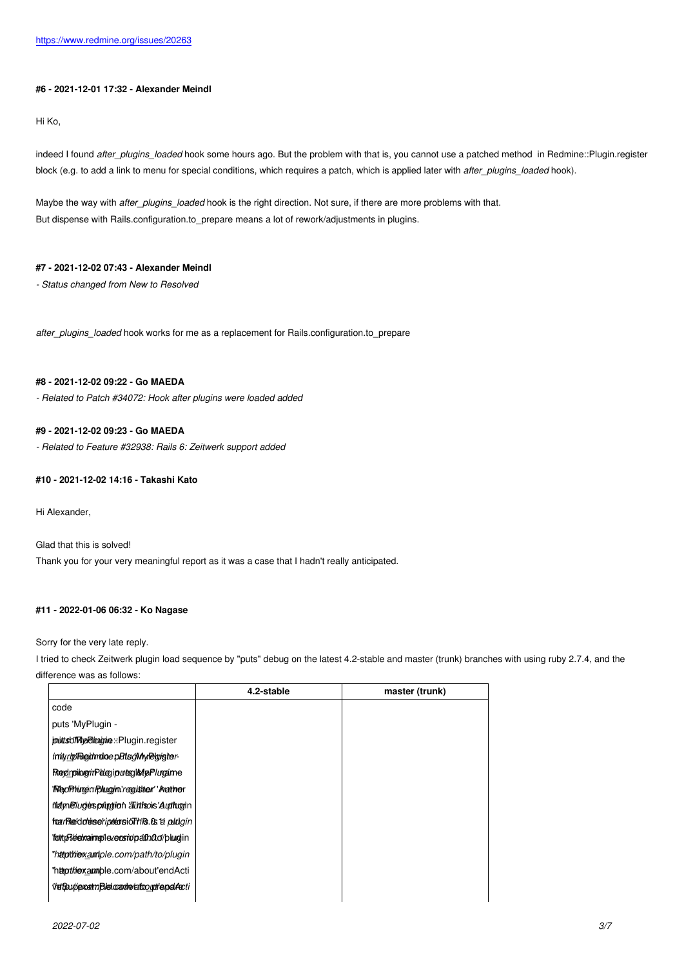# **[#6 - 2021-12-01 17:32 - Alexander Me](https://www.redmine.org/issues/20263)indl**

Hi Ko,

indeed I found *after plugins loaded* hook some hours ago. But the problem with that is, you cannot use a patched method in Redmine::Plugin.register block (e.g. to add a link to menu for special conditions, which requires a patch, which is applied later with *after\_plugins\_loaded* hook).

Maybe the way with *after\_plugins\_loaded* hook is the right direction. Not sure, if there are more problems with that. But dispense with Rails.configuration.to\_prepare means a lot of rework/adjustments in plugins.

# **#7 - 2021-12-02 07:43 - Alexander Meindl**

*- Status changed from New to Resolved*

*after\_plugins\_loaded* hook works for me as a replacement for Rails.configuration.to\_prepare

#### **#8 - 2021-12-02 09:22 - Go MAEDA**

*- Related to Patch #34072: Hook after plugins were loaded added*

# **#9 - 2021-12-02 09:23 - Go MAEDA**

*- Related to Feature #32938: Rails 6: Zeitwerk support added*

### **#10 - 2021-12-02 14:16 - Takashi Kato**

Hi Alexander,

Glad that this is solved!

Thank you for your very meaningful report as it was a case that I hadn't really anticipated.

## **#11 - 2022-01-06 06:32 - Ko Nagase**

Sorry for the very late reply.

I tried to check Zeitwerk plugin load sequence by "puts" debug on the latest 4.2-stable and master (trunk) branches with using ruby 2.7.4, and the difference was as follows:

|                                                | 4.2-stable | master (trunk) |
|------------------------------------------------|------------|----------------|
| code                                           |            |                |
| puts 'MyPlugin -                               |            |                |
| pouttsbl/Myaclimanie: Plugin.register          |            |                |
| imit/rlp/ReidmoloepBtsclivhyrelarigiter-       |            |                |
| Regingibugin Photosiputegistg Plugame          |            |                |
| 'Rechturen Plugin' reguster' Aather            |            |                |
| <i>tilám@lugesplugjion athrisois'Audivorin</i> |            |                |
| frau Rec'd drese ripitension h'is is a pudgin  |            |                |
| fottpReetxaimeolexecsropdChQd/pluudin          |            |                |
| "httpthexample.com/path/to/plugin              |            |                |
| "http://www.ample.com/about'endActi            |            |                |
| VetBuperatmBlel.cade/atooutrepdActi            |            |                |
|                                                |            |                |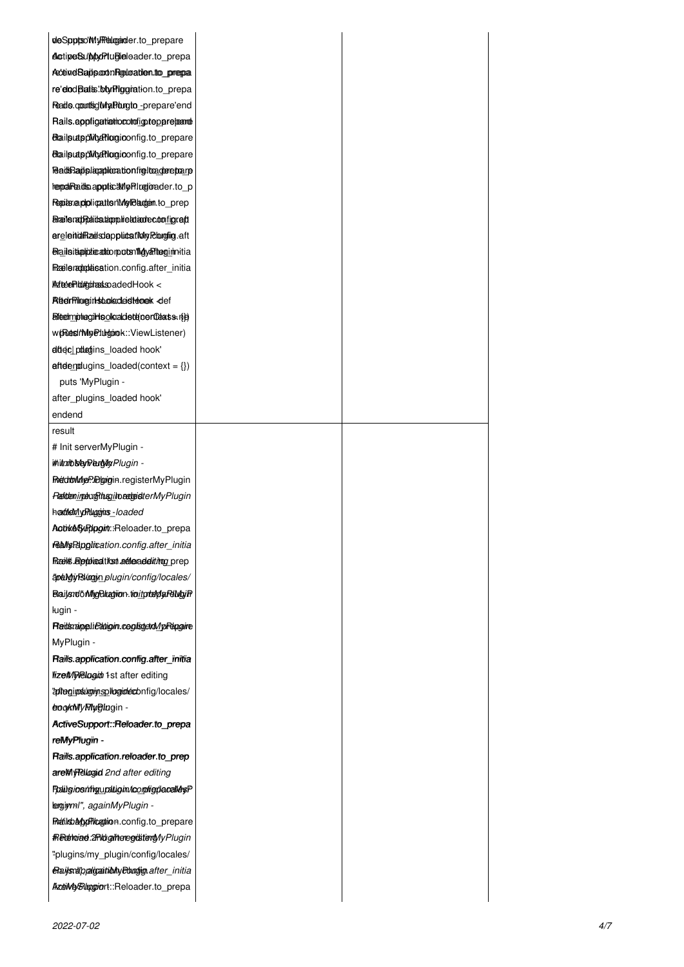| deSpptsoWlyReligander.to_prepare                                                                               |  |
|----------------------------------------------------------------------------------------------------------------|--|
| dotipeSubboPluBieleader.to_prepa                                                                               |  |
| Acceived Bad porton Figel tradien.to_prepa                                                                     |  |
| re'elodBaits: bon Piggration.to_prepa                                                                          |  |
| Reado.countschwarehorgto_prepare'end                                                                           |  |
| Rails.appfigatiaticcotolightepprejearde                                                                        |  |
| Blailputppli/bd?logioonfig.to_prepare                                                                          |  |
| Blailputppli/bd?logioonfig.to_prepare                                                                          |  |
| <b>Rad Radplaption tig ltnderpare</b>                                                                          |  |
| remodifications apports to the product of the part of the part of the part of the part of the part of the part |  |
| Repiterend policration My Pardem to prep                                                                       |  |
| Brailerad Raids tapplie address of igraft                                                                      |  |
| areleitid Radisdapplication relanging aft                                                                      |  |
| <b>Brailsitialidie atio roctsn'ildy afteginnitia</b>                                                           |  |
| Free lenambles ation.config.after_initia                                                                       |  |
| AddreePld#pdrastspadedHook <                                                                                   |  |
| <b>RiterPilogintsbolacleistetoek <def< b=""></def<></b>                                                        |  |
| Bitedminhagihlsolloaldett(nerfdass.rib)                                                                        |  |
| w(ResirMyPlugtonek::ViewListener)                                                                              |  |
| dtiec_pdientins_loaded hook'                                                                                   |  |
| ${\sf{\small{afdenglugins\_loaded}}(context = \{\})}$                                                          |  |
| puts 'MyPlugin -                                                                                               |  |
| after_plugins_loaded hook'                                                                                     |  |
| endend                                                                                                         |  |
| result                                                                                                         |  |
| # Init serverMyPlugin -                                                                                        |  |
| ithitmbbleynPertyliyrPlugin -                                                                                  |  |
| RiddtoMileP.Relgrigin.registerMyPlugin                                                                         |  |
| Rafdenindung hagilo and gidter My Plugin                                                                       |  |
| haddelvlyd Pulugarins-loaded                                                                                   |  |
| Actike Suppoint: Reloader.to_prepa                                                                             |  |
| <b>Ralls Papplication.config.after_initia</b>                                                                  |  |
| Radi <i><b>Republication attendeiting</b></i> prep                                                             |  |
| äpaMgiyRskingin_plugin/config/locales/                                                                         |  |
| Baijsndö MigBhagion.toitpteldaRdWgiR                                                                           |  |
| lugin -                                                                                                        |  |
| Radsmipplication.cogisted/pRepaire                                                                             |  |
| MyPlugin -                                                                                                     |  |
| Rail's.application.config.after_initia                                                                         |  |
| lize#/Relogion 1st after editing                                                                               |  |
| "aptegipst/goiyosplogidecbnfig/locales/                                                                        |  |
| bookMyRlyglogin -                                                                                              |  |
| ActiveSupport::Reloader.to_prepa                                                                               |  |
| reMyPlugïn -                                                                                                   |  |
| Rail's.application.reloader.to_prep                                                                            |  |
| are\\\rellogid 2nd after editing                                                                               |  |
| <b>Failgios/rhyupiltigin/tco.phgplaceNegP</b>                                                                  |  |
| lergiyml", againMyPlugin -                                                                                     |  |
| Rhatikblang Pication.config.to_prepare                                                                         |  |
| #Redelroiad:2Pldgaiteregosterty/lyPlugin                                                                       |  |
| "plugins/my_plugin/config/locales/                                                                             |  |
| erails religional in the education after_initia                                                                |  |
| AcceilAg-Bluggiont::Reloader.to_prepa                                                                          |  |
|                                                                                                                |  |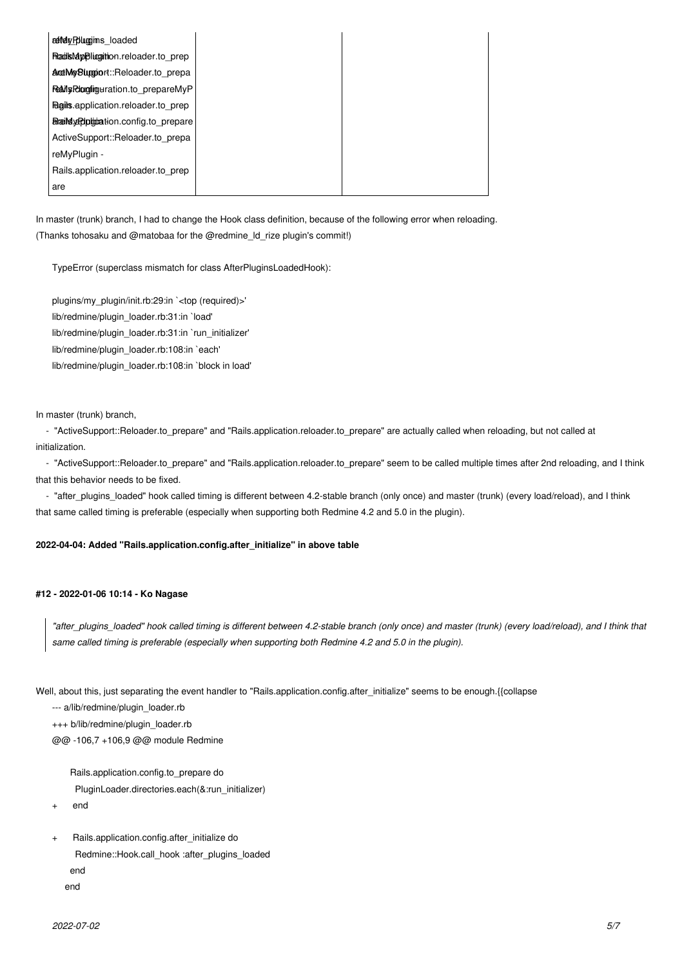| reftely Poluggins_loaded               |  |
|----------------------------------------|--|
| Rad sMapplication.reloader.to prep     |  |
| ActMy Sumport:: Reloader.to prepa      |  |
| Really Rolonglinguration.to_prepareMyP |  |
| Rigils.application.reloader.to prep    |  |
| Braild Addphination.config.to prepare  |  |
| ActiveSupport::Reloader.to prepa       |  |
| reMyPlugin -                           |  |
| Rails.application.reloader.to prep     |  |
| are                                    |  |

In master (trunk) branch, I had to change the Hook class definition, because of the following error when reloading. (Thanks tohosaku and  $\omega$ matobaa for the  $\omega$ redmine Id rize plugin's commit!)

TypeError (superclass mismatch for class AfterPluginsLoadedHook):

plugins/my\_plugin/init.rb:29:in `<top (required)>' lib/redmine/plugin\_loader.rb:31:in `load' lib/redmine/plugin\_loader.rb:31:in `run\_initializer' lib/redmine/plugin\_loader.rb:108:in `each' lib/redmine/plugin\_loader.rb:108:in `block in load'

In master (trunk) branch,

 - "ActiveSupport::Reloader.to\_prepare" and "Rails.application.reloader.to\_prepare" are actually called when reloading, but not called at initialization.

 - "ActiveSupport::Reloader.to\_prepare" and "Rails.application.reloader.to\_prepare" seem to be called multiple times after 2nd reloading, and I think that this behavior needs to be fixed.

- "after\_plugins\_loaded" hook called timing is different between 4.2-stable branch (only once) and master (trunk) (every load/reload), and I think that same called timing is preferable (especially when supporting both Redmine 4.2 and 5.0 in the plugin).

# **2022-04-04: Added "Rails.application.config.after\_initialize" in above table**

# **#12 - 2022-01-06 10:14 - Ko Nagase**

*"after\_plugins\_loaded" hook called timing is different between 4.2-stable branch (only once) and master (trunk) (every load/reload), and I think that same called timing is preferable (especially when supporting both Redmine 4.2 and 5.0 in the plugin).*

Well, about this, just separating the event handler to "Rails.application.config.after\_initialize" seems to be enough.{{collapse

--- a/lib/redmine/plugin\_loader.rb

+++ b/lib/redmine/plugin\_loader.rb @@ -106,7 +106,9 @@ module Redmine

 Rails.application.config.to\_prepare do PluginLoader.directories.each(&:run\_initializer)

- end
- + Rails.application.config.after\_initialize do Redmine::Hook.call\_hook :after\_plugins\_loaded end

end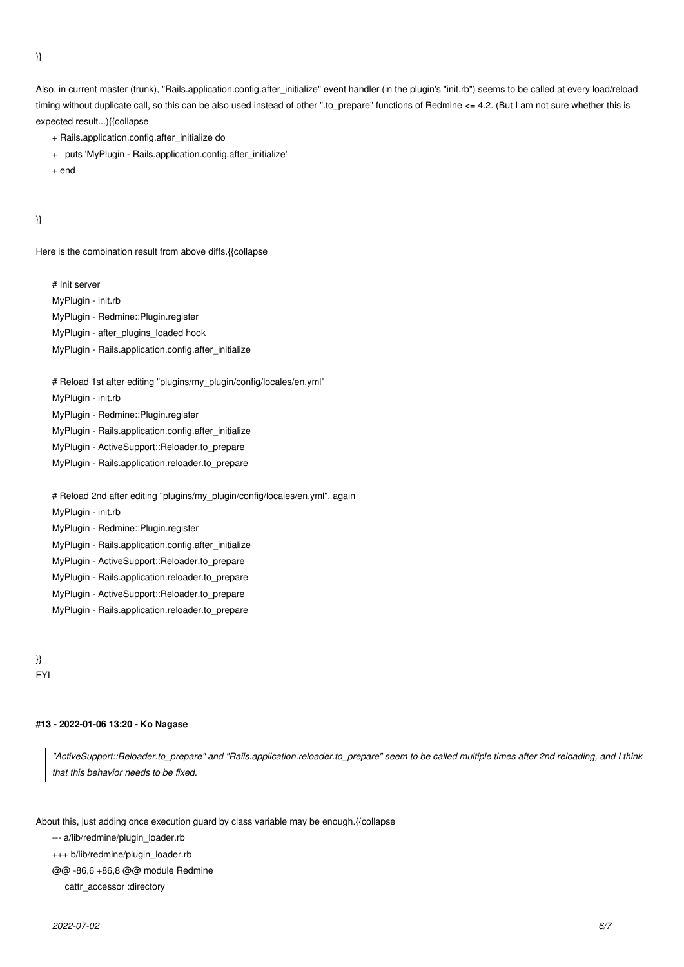}}

Also, in current master (trunk), "Rails.application.config.after\_initialize" event handler (in the plugin's "init.rb") seems to be called at every load/reload timing without duplicate call, so this can be also used instead of other ".to\_prepare" functions of Redmine <= 4.2. (But I am not sure whether this is expected result...){{collapse

- + Rails.application.config.after\_initialize do
- + puts 'MyPlugin Rails.application.config.after\_initialize'
- + end

# }}

Here is the combination result from above diffs.{{collapse

# Init server MyPlugin - init.rb MyPlugin - Redmine::Plugin.register MyPlugin - after\_plugins\_loaded hook

- MyPlugin Rails.application.config.after\_initialize
- # Reload 1st after editing "plugins/my\_plugin/config/locales/en.yml"
- MyPlugin init.rb
- MyPlugin Redmine::Plugin.register
- MyPlugin Rails.application.config.after\_initialize
- MyPlugin ActiveSupport::Reloader.to\_prepare
- MyPlugin Rails.application.reloader.to\_prepare
- # Reload 2nd after editing "plugins/my\_plugin/config/locales/en.yml", again
- MyPlugin init.rb
- MyPlugin Redmine::Plugin.register
- MyPlugin Rails.application.config.after\_initialize
- MyPlugin ActiveSupport::Reloader.to\_prepare
- MyPlugin Rails.application.reloader.to\_prepare
- MyPlugin ActiveSupport::Reloader.to\_prepare
- MyPlugin Rails.application.reloader.to\_prepare

# }} FYI

# **#13 - 2022-01-06 13:20 - Ko Nagase**

*"ActiveSupport::Reloader.to\_prepare" and "Rails.application.reloader.to\_prepare" seem to be called multiple times after 2nd reloading, and I think that this behavior needs to be fixed.*

About this, just adding once execution guard by class variable may be enough.{{collapse

- --- a/lib/redmine/plugin\_loader.rb
- +++ b/lib/redmine/plugin\_loader.rb
- @@ -86,6 +86,8 @@ module Redmine
	- cattr\_accessor :directory